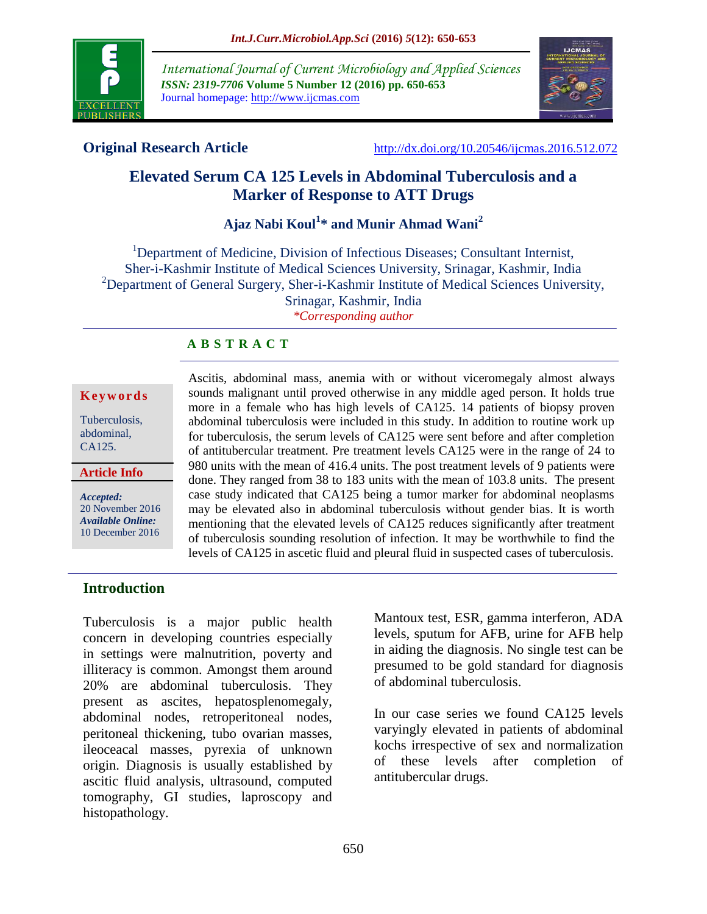

*International Journal of Current Microbiology and Applied Sciences ISSN: 2319-7706* **Volume 5 Number 12 (2016) pp. 650-653** Journal homepage: http://www.ijcmas.com



**Original Research Article** <http://dx.doi.org/10.20546/ijcmas.2016.512.072>

# **Elevated Serum CA 125 Levels in Abdominal Tuberculosis and a Marker of Response to ATT Drugs**

# **Ajaz Nabi Koul<sup>1</sup> \* and Munir Ahmad Wani<sup>2</sup>**

<sup>1</sup>Department of Medicine, Division of Infectious Diseases; Consultant Internist, Sher-i-Kashmir Institute of Medical Sciences University, Srinagar, Kashmir, India <sup>2</sup>Department of General Surgery, Sher-i-Kashmir Institute of Medical Sciences University, Srinagar, Kashmir, India *\*Corresponding author*

### **A B S T R A C T**

#### **K e y w o r d s**

Tuberculosis, abdominal, CA125.

**Article Info**

*Accepted:*  20 November 2016 *Available Online:* 10 December 2016

Ascitis, abdominal mass, anemia with or without viceromegaly almost always sounds malignant until proved otherwise in any middle aged person. It holds true more in a female who has high levels of CA125. 14 patients of biopsy proven abdominal tuberculosis were included in this study. In addition to routine work up for tuberculosis, the serum levels of CA125 were sent before and after completion of antitubercular treatment. Pre treatment levels CA125 were in the range of 24 to 980 units with the mean of 416.4 units. The post treatment levels of 9 patients were done. They ranged from 38 to 183 units with the mean of 103.8 units. The present case study indicated that CA125 being a tumor marker for abdominal neoplasms may be elevated also in abdominal tuberculosis without gender bias. It is worth mentioning that the elevated levels of CA125 reduces significantly after treatment of tuberculosis sounding resolution of infection. It may be worthwhile to find the levels of CA125 in ascetic fluid and pleural fluid in suspected cases of tuberculosis.

## **Introduction**

Tuberculosis is a major public health concern in developing countries especially in settings were malnutrition, poverty and illiteracy is common. Amongst them around 20% are abdominal tuberculosis. They present as ascites, hepatosplenomegaly, abdominal nodes, retroperitoneal nodes, peritoneal thickening, tubo ovarian masses, ileoceacal masses, pyrexia of unknown origin. Diagnosis is usually established by ascitic fluid analysis, ultrasound, computed tomography, GI studies, laproscopy and histopathology.

Mantoux test, ESR, gamma interferon, ADA levels, sputum for AFB, urine for AFB help in aiding the diagnosis. No single test can be presumed to be gold standard for diagnosis of abdominal tuberculosis.

In our case series we found CA125 levels varyingly elevated in patients of abdominal kochs irrespective of sex and normalization of these levels after completion of antitubercular drugs.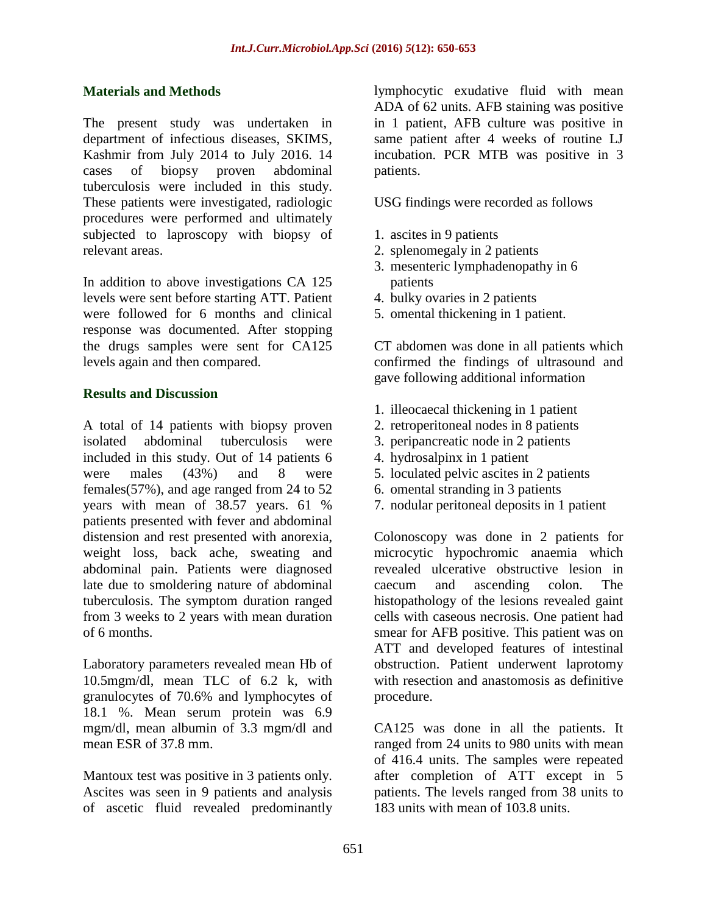### **Materials and Methods**

The present study was undertaken in department of infectious diseases, SKIMS, Kashmir from July 2014 to July 2016. 14 cases of biopsy proven abdominal tuberculosis were included in this study. These patients were investigated, radiologic procedures were performed and ultimately subjected to laproscopy with biopsy of relevant areas.

In addition to above investigations CA 125 levels were sent before starting ATT. Patient were followed for 6 months and clinical response was documented. After stopping the drugs samples were sent for CA125 levels again and then compared.

#### **Results and Discussion**

A total of 14 patients with biopsy proven isolated abdominal tuberculosis were included in this study. Out of 14 patients 6 were males (43%) and 8 were females(57%), and age ranged from 24 to 52 years with mean of 38.57 years. 61 % patients presented with fever and abdominal distension and rest presented with anorexia, weight loss, back ache, sweating and abdominal pain. Patients were diagnosed late due to smoldering nature of abdominal tuberculosis. The symptom duration ranged from 3 weeks to 2 years with mean duration of 6 months.

Laboratory parameters revealed mean Hb of 10.5mgm/dl, mean TLC of 6.2 k, with granulocytes of 70.6% and lymphocytes of 18.1 %. Mean serum protein was 6.9 mgm/dl, mean albumin of 3.3 mgm/dl and mean ESR of 37.8 mm.

Mantoux test was positive in 3 patients only. Ascites was seen in 9 patients and analysis of ascetic fluid revealed predominantly lymphocytic exudative fluid with mean ADA of 62 units. AFB staining was positive in 1 patient, AFB culture was positive in same patient after 4 weeks of routine LJ incubation. PCR MTB was positive in 3 patients.

USG findings were recorded as follows

- 1. ascites in 9 patients
- 2. splenomegaly in 2 patients
- 3. mesenteric lymphadenopathy in 6 patients
- 4. bulky ovaries in 2 patients
- 5. omental thickening in 1 patient.

CT abdomen was done in all patients which confirmed the findings of ultrasound and gave following additional information

- 1. illeocaecal thickening in 1 patient
- 2. retroperitoneal nodes in 8 patients
- 3. peripancreatic node in 2 patients
- 4. hydrosalpinx in 1 patient
- 5. loculated pelvic ascites in 2 patients
- 6. omental stranding in 3 patients
- 7. nodular peritoneal deposits in 1 patient

Colonoscopy was done in 2 patients for microcytic hypochromic anaemia which revealed ulcerative obstructive lesion in caecum and ascending colon. The histopathology of the lesions revealed gaint cells with caseous necrosis. One patient had smear for AFB positive. This patient was on ATT and developed features of intestinal obstruction. Patient underwent laprotomy with resection and anastomosis as definitive procedure.

CA125 was done in all the patients. It ranged from 24 units to 980 units with mean of 416.4 units. The samples were repeated after completion of ATT except in 5 patients. The levels ranged from 38 units to 183 units with mean of 103.8 units.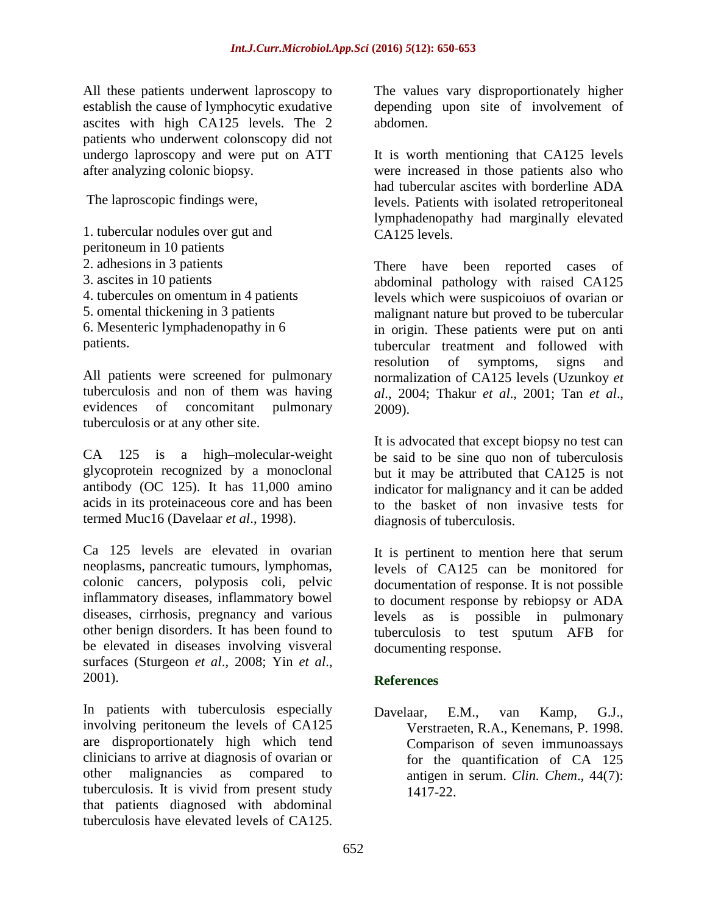All these patients underwent laproscopy to establish the cause of lymphocytic exudative ascites with high CA125 levels. The 2 patients who underwent colonscopy did not undergo laproscopy and were put on ATT after analyzing colonic biopsy.

The laproscopic findings were,

1. tubercular nodules over gut and peritoneum in 10 patients 2. adhesions in 3 patients 3. ascites in 10 patients 4. tubercules on omentum in 4 patients 5. omental thickening in 3 patients 6. Mesenteric lymphadenopathy in 6 patients.

All patients were screened for pulmonary tuberculosis and non of them was having evidences of concomitant pulmonary tuberculosis or at any other site.

CA 125 is a high–molecular-weight glycoprotein recognized by a monoclonal antibody (OC 125). It has 11,000 amino acids in its proteinaceous core and has been termed Muc16 (Davelaar *et al*., 1998).

Ca 125 levels are elevated in ovarian neoplasms, pancreatic tumours, lymphomas, colonic cancers, polyposis coli, pelvic inflammatory diseases, inflammatory bowel diseases, cirrhosis, pregnancy and various other benign disorders. It has been found to be elevated in diseases involving visveral surfaces (Sturgeon *et al*., 2008; Yin *et al*., 2001).

In patients with tuberculosis especially involving peritoneum the levels of CA125 are disproportionately high which tend clinicians to arrive at diagnosis of ovarian or other malignancies as compared to tuberculosis. It is vivid from present study that patients diagnosed with abdominal tuberculosis have elevated levels of CA125.

The values vary disproportionately higher depending upon site of involvement of abdomen.

It is worth mentioning that CA125 levels were increased in those patients also who had tubercular ascites with borderline ADA levels. Patients with isolated retroperitoneal lymphadenopathy had marginally elevated CA125 levels.

There have been reported cases of abdominal pathology with raised CA125 levels which were suspicoiuos of ovarian or malignant nature but proved to be tubercular in origin. These patients were put on anti tubercular treatment and followed with resolution of symptoms, signs and normalization of CA125 levels (Uzunkoy *et al*., 2004; Thakur *et al*., 2001; Tan *et al*., 2009).

It is advocated that except biopsy no test can be said to be sine quo non of tuberculosis but it may be attributed that CA125 is not indicator for malignancy and it can be added to the basket of non invasive tests for diagnosis of tuberculosis.

It is pertinent to mention here that serum levels of CA125 can be monitored for documentation of response. It is not possible to document response by rebiopsy or ADA levels as is possible in pulmonary tuberculosis to test sputum AFB for documenting response.

# **References**

Davelaar, E.M., van Kamp, G.J., Verstraeten, R.A., Kenemans, P. 1998. Comparison of seven immunoassays for the quantification of CA 125 antigen in serum. *Clin. Chem*., 44(7): 1417-22.